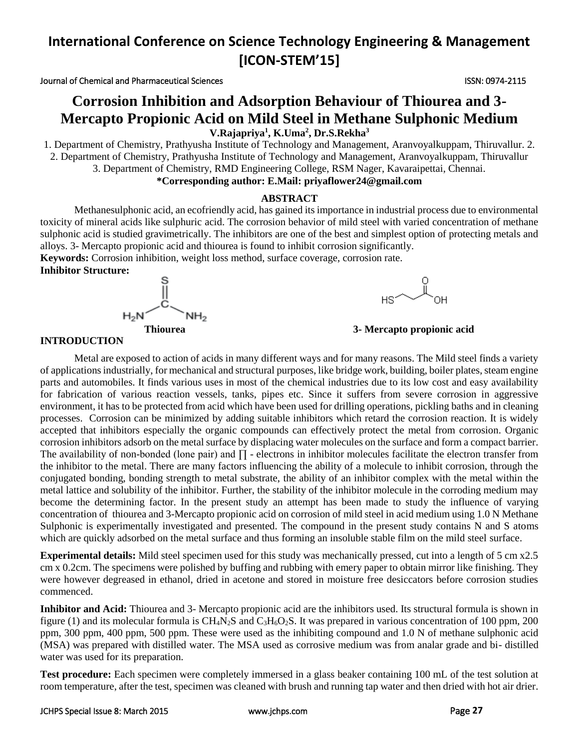Journal of Chemical and Pharmaceutical Sciences ISSN: 0974-2115

# **Corrosion Inhibition and Adsorption Behaviour of Thiourea and 3- Mercapto Propionic Acid on Mild Steel in Methane Sulphonic Medium V.Rajapriya<sup>1</sup> , K.Uma<sup>2</sup> , Dr.S.Rekha<sup>3</sup>**

1. Department of Chemistry, Prathyusha Institute of Technology and Management, Aranvoyalkuppam, Thiruvallur. 2. 2. Department of Chemistry, Prathyusha Institute of Technology and Management, Aranvoyalkuppam, Thiruvallur 3. Department of Chemistry, RMD Engineering College, RSM Nager, Kavaraipettai, Chennai.

### **\*Corresponding author: E.Mail: [priyaflower24@gmail.com](mailto:priyaflower24@gmail.com)**

### **ABSTRACT**

Methanesulphonic acid, an ecofriendly acid, has gained its importance in industrial process due to environmental toxicity of mineral acids like sulphuric acid. The corrosion behavior of mild steel with varied concentration of methane sulphonic acid is studied gravimetrically. The inhibitors are one of the best and simplest option of protecting metals and alloys. 3- Mercapto propionic acid and thiourea is found to inhibit corrosion significantly.

**Keywords:** Corrosion inhibition, weight loss method, surface coverage, corrosion rate.

**Inhibitor Structure:**





**Thiourea 3- Mercapto propionic acid**

#### **INTRODUCTION**

Metal are exposed to action of acids in many different ways and for many reasons. The Mild steel finds a variety of applications industrially, for mechanical and structural purposes, like bridge work, building, boiler plates, steam engine parts and automobiles. It finds various uses in most of the chemical industries due to its low cost and easy availability for fabrication of various reaction vessels, tanks, pipes etc. Since it suffers from severe corrosion in aggressive environment, it has to be protected from acid which have been used for drilling operations, pickling baths and in cleaning processes. Corrosion can be minimized by adding suitable inhibitors which retard the corrosion reaction. It is widely accepted that inhibitors especially the organic compounds can effectively protect the metal from corrosion. Organic corrosion inhibitors adsorb on the metal surface by displacing water molecules on the surface and form a compact barrier. The availability of non-bonded (lone pair) and ∏ - electrons in inhibitor molecules facilitate the electron transfer from the inhibitor to the metal. There are many factors influencing the ability of a molecule to inhibit corrosion, through the conjugated bonding, bonding strength to metal substrate, the ability of an inhibitor complex with the metal within the metal lattice and solubility of the inhibitor. Further, the stability of the inhibitor molecule in the corroding medium may become the determining factor. In the present study an attempt has been made to study the influence of varying concentration of thiourea and 3-Mercapto propionic acid on corrosion of mild steel in acid medium using 1.0 N Methane Sulphonic is experimentally investigated and presented. The compound in the present study contains N and S atoms which are quickly adsorbed on the metal surface and thus forming an insoluble stable film on the mild steel surface.

**Experimental details:** Mild steel specimen used for this study was mechanically pressed, cut into a length of 5 cm x2.5 cm x 0.2cm. The specimens were polished by buffing and rubbing with emery paper to obtain mirror like finishing. They were however degreased in ethanol, dried in acetone and stored in moisture free desiccators before corrosion studies commenced.

**Inhibitor and Acid:** Thiourea and 3- Mercapto propionic acid are the inhibitors used. Its structural formula is shown in figure (1) and its molecular formula is  $CH_4N_2S$  and  $C_3H_6O_2S$ . It was prepared in various concentration of 100 ppm, 200 ppm, 300 ppm, 400 ppm, 500 ppm. These were used as the inhibiting compound and 1.0 N of methane sulphonic acid (MSA) was prepared with distilled water. The MSA used as corrosive medium was from analar grade and bi- distilled water was used for its preparation.

**Test procedure:** Each specimen were completely immersed in a glass beaker containing 100 mL of the test solution at room temperature, after the test, specimen was cleaned with brush and running tap water and then dried with hot air drier.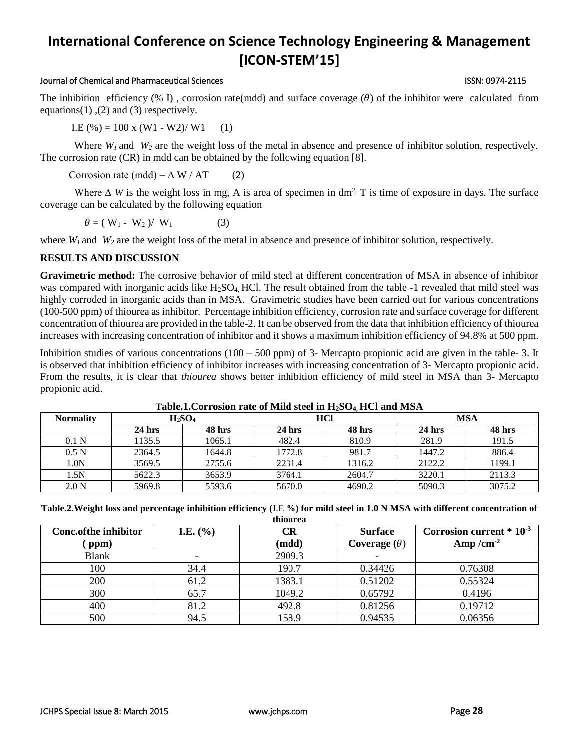### Journal of Chemical and Pharmaceutical Sciences ISSN: 0974-2115

The inhibition efficiency (% I), corrosion rate(mdd) and surface coverage ( $\theta$ ) of the inhibitor were calculated from equations(1), (2) and (3) respectively.

I.E  $(\%)=100 \times (W1 - W2)/W1$  (1)

Where  $W_I$  and  $W_2$  are the weight loss of the metal in absence and presence of inhibitor solution, respectively. The corrosion rate (CR) in mdd can be obtained by the following equation [8].

Corrosion rate (mdd) =  $\Delta W / AT$  (2)

Where  $\Delta$  *W* is the weight loss in mg, A is area of specimen in dm<sup>2,</sup> T is time of exposure in days. The surface coverage can be calculated by the following equation

$$
\theta = (W_1 - W_2) / W_1 \tag{3}
$$

where  $W_l$  and  $W_2$  are the weight loss of the metal in absence and presence of inhibitor solution, respectively.

#### **RESULTS AND DISCUSSION**

**Gravimetric method:** The corrosive behavior of mild steel at different concentration of MSA in absence of inhibitor was compared with inorganic acids like  $H_2SO_4$  HCl. The result obtained from the table -1 revealed that mild steel was highly corroded in inorganic acids than in MSA. Gravimetric studies have been carried out for various concentrations (100-500 ppm) of thiourea as inhibitor. Percentage inhibition efficiency, corrosion rate and surface coverage for different concentration of thiourea are provided in the table-2. It can be observed from the data that inhibition efficiency of thiourea increases with increasing concentration of inhibitor and it shows a maximum inhibition efficiency of 94.8% at 500 ppm.

Inhibition studies of various concentrations  $(100 - 500 \text{ ppm})$  of 3- Mercapto propionic acid are given in the table- 3. It is observed that inhibition efficiency of inhibitor increases with increasing concentration of 3- Mercapto propionic acid. From the results, it is clear that *thiourea* shows better inhibition efficiency of mild steel in MSA than 3- Mercapto propionic acid.

| <b>Normality</b> |          | H <sub>2</sub> SO <sub>4</sub> | HCl      |        | <b>MSA</b> |        |
|------------------|----------|--------------------------------|----------|--------|------------|--------|
|                  | $24$ hrs | <b>48 hrs</b>                  | $24$ hrs | 48 hrs | $24$ hrs   | 48 hrs |
| 0.1 <sub>N</sub> | 1135.5   | 1065.1                         | 482.4    | 810.9  | 281.9      | 191.5  |
| 0.5 <sub>N</sub> | 2364.5   | 1644.8                         | 1772.8   | 981.7  | 1447.2     | 886.4  |
| 1.0N             | 3569.5   | 2755.6                         | 2231.4   | 1316.2 | 2122.2     | 1199.1 |
| 1.5N             | 5622.3   | 3653.9                         | 3764.1   | 2604.7 | 3220.1     | 2113.3 |
| 2.0 <sub>N</sub> | 5969.8   | 5593.6                         | 5670.0   | 4690.2 | 5090.3     | 3075.2 |

#### **Table.1.Corrosion rate of Mild steel in H2SO4, HCl and MSA**

**Table.2.Weight loss and percentage inhibition efficiency (**I.E **%) for mild steel in 1.0 N MSA with different concentration of** 

| thiourea             |                                  |        |                     |                              |  |  |  |
|----------------------|----------------------------------|--------|---------------------|------------------------------|--|--|--|
| Conc.ofthe inhibitor | <b>I.E.</b> $(\% )$<br><b>CR</b> |        | <b>Surface</b>      | Corrosion current $*10^{-3}$ |  |  |  |
| ppm)                 |                                  | (mdd)  | Coverage $(\theta)$ | Amp/cm <sup>-2</sup>         |  |  |  |
| <b>Blank</b>         | $\overline{\phantom{a}}$         | 2909.3 |                     |                              |  |  |  |
| 100                  | 34.4                             | 190.7  | 0.34426             | 0.76308                      |  |  |  |
| 200                  | 61.2                             | 1383.1 | 0.51202             | 0.55324                      |  |  |  |
| 300                  | 65.7                             | 1049.2 | 0.65792             | 0.4196                       |  |  |  |
| 400                  | 81.2                             | 492.8  | 0.81256             | 0.19712                      |  |  |  |
| 500                  | 94.5                             | 158.9  | 0.94535             | 0.06356                      |  |  |  |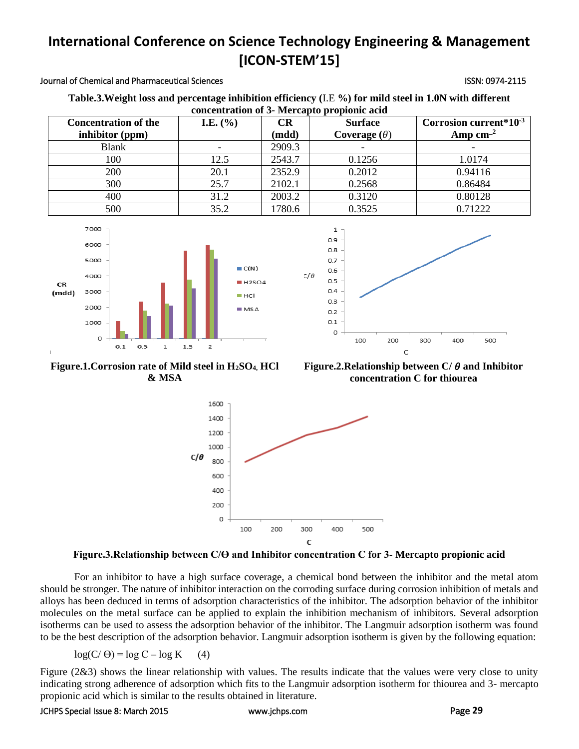### Journal of Chemical and Pharmaceutical Sciences **ISSN: 0974-2115** ISSN: 0974-2115

| Table.3. Weight loss and percentage inhibition efficiency (I.E %) for mild steel in 1.0N with different |  |  |  |  |  |
|---------------------------------------------------------------------------------------------------------|--|--|--|--|--|
| concentration of 3- Mercapto propionic acid                                                             |  |  |  |  |  |

| <b>Concentration of the</b> | <b>I.E.</b> $(\% )$ | CR     | <b>Surface</b>      | Corrosion current*10 <sup>-3</sup> |  |  |  |
|-----------------------------|---------------------|--------|---------------------|------------------------------------|--|--|--|
| inhibitor (ppm)             |                     | (mdd)  | Coverage $(\theta)$ | Amp $cm^{-2}$                      |  |  |  |
| <b>Blank</b>                |                     | 2909.3 |                     |                                    |  |  |  |
| 100                         | 12.5                | 2543.7 | 0.1256              | 1.0174                             |  |  |  |
| 200                         | 20.1                | 2352.9 | 0.2012              | 0.94116                            |  |  |  |
| 300                         | 25.7                | 2102.1 | 0.2568              | 0.86484                            |  |  |  |
| 400                         | 31.2                | 2003.2 | 0.3120              | 0.80128                            |  |  |  |
| 500                         | 35.2                | 1780.6 | 0.3525              | 0.71222                            |  |  |  |





**Figure.1.Corrosion rate of Mild steel in H2SO4, HCl & MSA**

Figure.2. Relationship between  $C/\theta$  and Inhibitor **concentration C for thiourea**



**Figure.3.Relationship between C/Ɵ and Inhibitor concentration C for 3- Mercapto propionic acid**

For an inhibitor to have a high surface coverage, a chemical bond between the inhibitor and the metal atom should be stronger. The nature of inhibitor interaction on the corroding surface during corrosion inhibition of metals and alloys has been deduced in terms of adsorption characteristics of the inhibitor. The adsorption behavior of the inhibitor molecules on the metal surface can be applied to explain the inhibition mechanism of inhibitors. Several adsorption isotherms can be used to assess the adsorption behavior of the inhibitor. The Langmuir adsorption isotherm was found to be the best description of the adsorption behavior. Langmuir adsorption isotherm is given by the following equation:

 $log(C/\Theta) = log C - log K$  (4)

Figure (2&3) shows the linear relationship with values. The results indicate that the values were very close to unity indicating strong adherence of adsorption which fits to the Langmuir adsorption isotherm for thiourea and 3- mercapto propionic acid which is similar to the results obtained in literature.

#### JCHPS Special Issue 8: March 2015 [www.jchps.com](http://www.jchps.com/) Page **29**